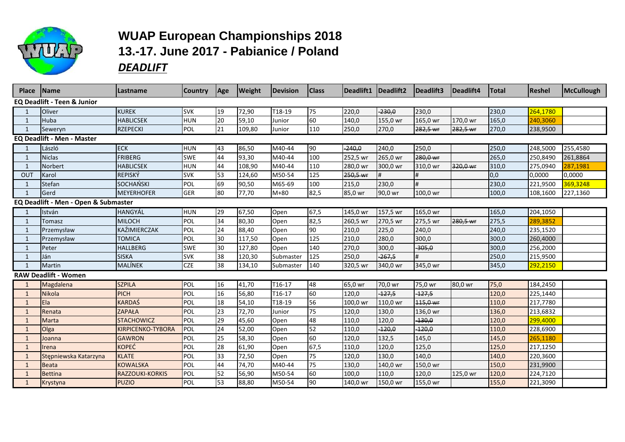

## **WUAP European Championships 2018 13.-17. June 2017 - Pabianice / Poland**  *DEADLIFT*

| <b>Place</b>                           | <b>Name</b>                       | Lastname                 | Country    | Age | <b>Weight</b> | Devision  | <b>Class</b> |          | Deadlift1   Deadlift2 | Deadlift3 | Deadlift4 | <b>Total</b> | <b>Reshel</b> | McCullough |
|----------------------------------------|-----------------------------------|--------------------------|------------|-----|---------------|-----------|--------------|----------|-----------------------|-----------|-----------|--------------|---------------|------------|
| <b>EQ Deadlift - Teen &amp; Junior</b> |                                   |                          |            |     |               |           |              |          |                       |           |           |              |               |            |
|                                        | Oliver                            | <b>KUREK</b>             | <b>SVK</b> | 19  | 72,90         | T18-19    | 75           | 220,0    | $-230,0$              | 230,0     |           | 230,0        | 264,1780      |            |
| -1                                     | Huba                              | <b>HABLICSEK</b>         | <b>HUN</b> | 20  | 59,10         | Junior    | 60           | 140,0    | 155,0 wr              | 165,0 wr  | 170,0 wr  | 165,0        | 240,3060      |            |
| $\mathbf{1}$                           | Seweryn                           | <b>RZEPECKI</b>          | POL        | 21  | 109,80        | Junior    | 110          | 250,0    | 270,0                 | 282,5 wr  | 282,5 wr  | 270,0        | 238,9500      |            |
|                                        | <b>EQ Deadlift - Men - Master</b> |                          |            |     |               |           |              |          |                       |           |           |              |               |            |
|                                        | László                            | <b>ECK</b>               | <b>HUN</b> | 43  | 86,50         | M40-44    | 90           | $-240,0$ | 240,0                 | 250,0     |           | 250,0        | 248,5000      | 255,4580   |
| -1                                     | <b>Niclas</b>                     | <b>FRIBERG</b>           | <b>SWE</b> | 44  | 93,30         | M40-44    | 100          | 252,5 wr | 265,0 wr              | 280,0 wr  |           | 265,0        | 250,8490      | 261,8864   |
|                                        | Norbert                           | <b>HABLICSEK</b>         | <b>HUN</b> | 44  | 108,90        | M40-44    | 110          | 280,0 wr | 300,0 wr              | 310,0 wr  | 320,0 wr  | 310,0        | 275,0940      | 287,1981   |
| OUT                                    | Karol                             | <b>REPISKÝ</b>           | <b>SVK</b> | 53  | 124,60        | M50-54    | 125          | 250,5 wr |                       |           |           | 0,0          | 0,0000        | 0,0000     |
|                                        | Stefan                            | <b>SOCHANSKI</b>         | POL        | 69  | 90,50         | M65-69    | 100          | 215,0    | 230,0                 | #         |           | 230,0        | 221,9500      | 369,3248   |
|                                        | Gerd                              | <b>MEYERHOFER</b>        | <b>GER</b> | 80  | 77,70         | $M+80$    | 82,5         | 85,0 wr  | 90,0 wr               | 100,0 wr  |           | 100,0        | 108,1600      | 227,1360   |
| EQ Deadlift - Men - Open & Submaster   |                                   |                          |            |     |               |           |              |          |                       |           |           |              |               |            |
|                                        | István                            | <b>HANGYÁL</b>           | <b>HUN</b> | 29  | 67,50         | Open      | 67,5         | 145,0 wr | 157,5 wr              | 165,0 wr  |           | 165,0        | 204,1050      |            |
|                                        | Tomasz                            | <b>MILOCH</b>            | POL        | 34  | 80,30         | Open      | 82,5         | 260,5 wr | 270,5 wr              | 275,5 wr  | 280,5 wr  | 275,5        | 289,3852      |            |
|                                        | Przemysław                        | KAŹIMIERCZAK             | POL        | 24  | 88,40         | Open      | 90           | 210,0    | 225,0                 | 240,0     |           | 240,0        | 235,1520      |            |
| 1                                      | Przemysław                        | <b>TOMICA</b>            | POL        | 30  | 117,50        | Open      | 125          | 210,0    | 280,0                 | 300,0     |           | 300,0        | 260,4000      |            |
|                                        | Peter                             | <b>HALLBERG</b>          | SWE        | 30  | 127,80        | Open      | 140          | 270,0    | 300,0                 | $-305,0$  |           | 300,0        | 256,2000      |            |
|                                        | Ján                               | <b>SISKA</b>             | <b>SVK</b> | 38  | 120,30        | Submaster | 125          | 250,0    | $-267,5$              | #         |           | 250,0        | 215,9500      |            |
|                                        | Martin                            | MALÍNEK                  | <b>CZE</b> | 38  | 134,10        | Submaster | 140          | 320,5 wr | 340,0 wr              | 345,0 wr  |           | 345,0        | 292,2150      |            |
|                                        | <b>RAW Deadlift - Women</b>       |                          |            |     |               |           |              |          |                       |           |           |              |               |            |
|                                        | Magdalena                         | <b>SZPILA</b>            | POL        | 16  | 41,70         | T16-17    | 48           | 65,0 wr  | 70,0 wr               | 75,0 wr   | 80,0 wr   | 75,0         | 184,2450      |            |
| $\mathbf 1$                            | Nikola                            | PICH                     | POL        | 16  | 56,80         | T16-17    | 60           | 120,0    | $-127,5$              | $-127,5$  |           | 120,0        | 225,1440      |            |
|                                        | Ela                               | <b>KARDAŚ</b>            | POL        | 18  | 54,10         | T18-19    | 56           | 100,0 wr | 110,0 wr              | 115,0 wr  |           | 110,0        | 217,7780      |            |
|                                        | Renata                            | <b>ZAPAŁA</b>            | POL        | 23  | 72,70         | Junior    | 75           | 120,0    | 130,0                 | 136,0 wr  |           | 136,0        | 213,6832      |            |
|                                        | <b>Marta</b>                      | <b>STACHOWICZ</b>        | POL        | 29  | 45,60         | Open      | 48           | 110,0    | 120,0                 | 130,0     |           | 120,0        | 299,4000      |            |
|                                        | Olga                              | <b>KIRPICENKO-TYBORA</b> | POL        | 24  | 52,00         | Open      | 52           | 110,0    | $-120,0$              | $-120,0$  |           | 110,0        | 228,6900      |            |
| 1                                      | Joanna                            | <b>GAWRON</b>            | POL        | 25  | 58,30         | Open      | 60           | 120,0    | 132,5                 | 145,0     |           | 145,0        | 265,1180      |            |
| 1                                      | <b>I</b> rena                     | <b>KOPEĆ</b>             | POL        | 28  | 61,90         | Open      | 67,5         | 110,0    | 120,0                 | 125,0     |           | 125,0        | 217,1250      |            |
|                                        | Stępniewska Katarzyna             | <b>KLATE</b>             | POL        | 33  | 72,50         | Open      | 75           | 120,0    | 130,0                 | 140,0     |           | 140,0        | 220,3600      |            |
| -1                                     | Beata                             | <b>KOWALSKA</b>          | POL        | 44  | 74,70         | M40-44    | 75           | 130,0    | 140,0 wr              | 150,0 wr  |           | 150,0        | 231,9900      |            |
| $\mathbf{1}$                           | <b>Bettina</b>                    | <b>RAZZOUKI-KORKIS</b>   | POL        | 52  | 56,90         | M50-54    | 60           | 100,0    | 110,0                 | 120,0     | 125,0 wr  | 120,0        | 224,7120      |            |
|                                        | Krystyna                          | <b>PUZIO</b>             | POL        | 53  | 88,80         | M50-54    | 90           | 140,0 wr | 150,0 wr              | 155,0 wr  |           | 155,0        | 221,3090      |            |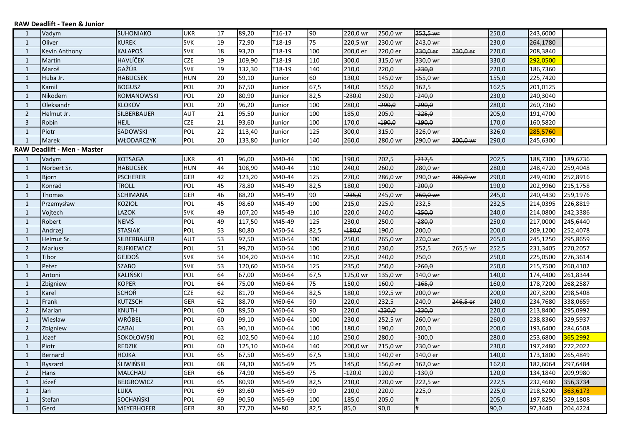## **RAW Deadlift - Teen & Junior**

| 1                           | Vadym          | SUHONIAKO         | UKR        | 17 | 89,20  | T16-17 | 90              | 220,0 wr | 250,0 wr | 252,5 wr |          | 250,0 | 243,6000 |          |
|-----------------------------|----------------|-------------------|------------|----|--------|--------|-----------------|----------|----------|----------|----------|-------|----------|----------|
| 1                           | Oliver         | <b>KUREK</b>      | <b>SVK</b> | 19 | 72,90  | T18-19 | 75              | 220,5 wr | 230,0 wr | 243,0 wr |          | 230,0 | 264,1780 |          |
| $\mathbf{1}$                | Kevin Anthony  | KALAPOŠ           | <b>SVK</b> | 18 | 93,20  | T18-19 | 100             | 200,0 er | 220,0 er | 230,0 er | 230,0 er | 220,0 | 208,3840 |          |
| $\mathbf{1}$                | Martin         | HAVLÍČEK          | <b>CZE</b> | 19 | 109,90 | T18-19 | 110             | 300,0    | 315,0 wr | 330,0 wr |          | 330,0 | 292,0500 |          |
| $\mathbf{1}$                | Maroš          | GAŽÚR             | <b>SVK</b> | 19 | 132,30 | T18-19 | 140             | 210,0    | 220,0    | $-230,0$ |          | 220,0 | 186,7360 |          |
| $\mathbf{1}$                | Huba Jr.       | <b>HABLICSEK</b>  | <b>HUN</b> | 20 | 59,10  | Junior | 60              | 130,0    | 145,0 wr | 155,0 wr |          | 155,0 | 225,7420 |          |
| $\mathbf{1}$                | Kamil          | <b>BOGUSZ</b>     | POL        | 20 | 67,50  | Junior | 67,5            | 140,0    | 155,0    | 162,5    |          | 162,5 | 201,0125 |          |
| $\mathbf{1}$                | Nikodem        | ROMANOWSKI        | POL        | 20 | 80,90  | Junior | 82,5            | $-230,0$ | 230,0    | $-240,0$ |          | 230,0 | 240,3040 |          |
| $\mathbf{1}$                | Oleksandr      | <b>KLOKOV</b>     | POL        | 20 | 96,20  | Junior | 100             | 280,0    | $-290,0$ | $-290,0$ |          | 280,0 | 260,7360 |          |
| $\overline{2}$              | Helmut Jr.     | SILBERBAUER       | <b>AUT</b> | 21 | 95,50  | Junior | 100             | 185,0    | 205,0    | $-225,0$ |          | 205,0 | 191,4700 |          |
| 3                           | Robin          | <b>HEJL</b>       | <b>CZE</b> | 21 | 93,60  | Junior | 100             | 170,0    | $-190,0$ | $-190,0$ |          | 170,0 | 160,5820 |          |
| $\mathbf{1}$                | Piotr          | SADOWSKI          | POL        | 22 | 113,40 | Junior | 125             | 300,0    | 315,0    | 326,0 wr |          | 326,0 | 285,5760 |          |
| $\mathbf{1}$                | Marek          | <b>WŁODARCZYK</b> | POL        | 20 | 133,80 | Junior | 140             | 260,0    | 280,0 wr | 290,0 wr | 300,0 wr | 290,0 | 245,6300 |          |
| RAW Deadlift - Men - Master |                |                   |            |    |        |        |                 |          |          |          |          |       |          |          |
| -1                          | Vadym          | <b>KOTSAGA</b>    | <b>UKR</b> | 41 | 96,00  | M40-44 | 100             | 190,0    | 202,5    | $-217,5$ |          | 202,5 | 188,7300 | 189,6736 |
| 1                           | Norbert Sr.    | HABLICSEK         | <b>HUN</b> | 44 | 108,90 | M40-44 | 110             | 240,0    | 260,0    | 280,0 wr |          | 280,0 | 248,4720 | 259,4048 |
| $\mathbf{1}$                | <b>Bjorn</b>   | <b>PSCHERER</b>   | <b>GER</b> | 42 | 123,20 | M40-44 | $\frac{125}{2}$ | 270,0    | 286,0 wr | 290,0 wr | 300,0 wr | 290,0 | 249,4000 | 252,8916 |
| $\mathbf{1}$                | Konrad         | <b>TROLL</b>      | POL        | 45 | 78,80  | M45-49 | 82,5            | 180,0    | 190,0    | $-200,0$ |          | 190,0 | 202,9960 | 215,1758 |
| $\mathbf{1}$                | Thomas         | <b>SCHIMANA</b>   | <b>GER</b> | 46 | 88,20  | M45-49 | 90              | $-235,0$ | 245,0 wr | 260,0 wr |          | 245,0 | 240,4430 | 259,1976 |
| $\mathbf{1}$                | Przemysław     | KOZIOŁ            | POL        | 45 | 98,60  | M45-49 | 100             | 215,0    | 225,0    | 232,5    |          | 232,5 | 214,0395 | 226,8819 |
| $\mathbf{1}$                | Vojtech        | LAZOK             | <b>SVK</b> | 49 | 107,20 | M45-49 | 110             | 220,0    | 240,0    | $-250,0$ |          | 240,0 | 214,0800 | 242,3386 |
| $\mathbf{1}$                | Robert         | NEMŚ              | POL        | 49 | 117,50 | M45-49 | 125             | 230,0    | 250,0    | $-280,0$ |          | 250,0 | 217,0000 | 245,6440 |
| $\mathbf{1}$                | Andrzei        | <b>STASIAK</b>    | POL        | 53 | 80,80  | M50-54 | 82,5            | $-180,0$ | 190,0    | 200,0    |          | 200,0 | 209,1200 | 252,4078 |
| $\mathbf{1}$                | Helmut Sr.     | SILBERBAUER       | <b>AUT</b> | 53 | 97,50  | M50-54 | 100             | 250,0    | 265,0 wr | 270,0 wr |          | 265,0 | 245,1250 | 295,8659 |
| $\overline{2}$              | <b>Mariusz</b> | <b>RUFKIEWICZ</b> | POL        | 51 | 99,70  | M50-54 | 100             | 210,0    | 230,0    | 252,5    | 265,5 wr | 252,5 | 231,3405 | 270,2057 |
| $\mathbf{1}$                | Tibor          | GEJDOŠ            | <b>SVK</b> | 54 | 104,20 | M50-54 | 110             | 225,0    | 240,0    | 250,0    |          | 250,0 | 225,0500 | 276,3614 |
| $\mathbf{1}$                | Peter          | <b>SZABO</b>      | <b>SVK</b> | 53 | 120,60 | M50-54 | 125             | 235,0    | 250,0    | $-260,0$ |          | 250,0 | 215,7500 | 260,4102 |
| $\mathbf{1}$                | Antoni         | KALIŃSKI          | POL        | 64 | 67,00  | M60-64 | 67,5            | 125,0 wr | 135,0 wr | 140,0 wr |          | 140,0 | 174,4400 | 261,8344 |
| $\mathbf{1}$                | Zbigniew       | <b>KOPER</b>      | POL        | 64 | 75,00  | M60-64 | 75              | 150,0    | 160,0    | $-165,0$ |          | 160,0 | 178,7200 | 268,2587 |
| $\mathbf{1}$                | Karel          | <b>SCHOŘ</b>      | <b>CZE</b> | 62 | 81,70  | M60-64 | 82,5            | 180,0    | 192,5 wr | 200,0 wr |          | 200,0 | 207,3200 | 298,5408 |
| $\mathbf{1}$                | Frank          | KUTZSCH           | <b>GER</b> | 62 | 88,70  | M60-64 | 90              | 220,0    | 232,5    | 240,0    | 246,5 er | 240,0 | 234,7680 | 338,0659 |
| $\overline{2}$              | Marian         | KNUTH             | POL        | 60 | 89,50  | M60-64 | 90              | 220,0    | $-230,0$ | $-230,0$ |          | 220,0 | 213,8400 | 295,0992 |
| $\mathbf{1}$                | Wiesław        | WRÓBEL            | POL        | 60 | 99,10  | M60-64 | 100             | 230,0    | 252,5 wr | 260,0 wr |          | 260,0 | 238,8360 | 329,5937 |
| $\overline{2}$              | Zbigniew       | CABAJ             | POL        | 63 | 90,10  | M60-64 | 100             | 180,0    | 190,0    | 200,0    |          | 200,0 | 193,6400 | 284,6508 |
| $\mathbf{1}$                | Józef          | SOKOŁOWSKI        | POL        | 62 | 102,50 | M60-64 | 110             | 250,0    | 280,0    | $-300,0$ |          | 280,0 | 253,6800 | 365,2992 |
| $\mathbf{1}$                | Piotr          | REDZIK            | POL        | 60 | 125,10 | M60-64 | 140             | 200,0 wr | 215,0 wr | 230,0 wr |          | 230,0 | 197,2480 | 272,2022 |
| $\mathbf{1}$                | Bernard        | <b>HOJKA</b>      | POL        | 65 | 67,50  | M65-69 | 67,5            | 130,0    | 140,0 er | 140,0 er |          | 140,0 | 173,1800 | 265,4849 |
| $\mathbf{1}$                | Ryszard        | <b>ŚLIWIŃSKI</b>  | POL        | 68 | 74,30  | M65-69 | 75              | 145,0    | 156,0 er | 162,0 wr |          | 162,0 | 182,6064 | 297,6484 |
| $\overline{2}$              | Hans           | MALCHAU           | <b>GER</b> | 66 | 74,90  | M65-69 | 75              | $-120,0$ | 120,0    | 130,0    |          | 120,0 | 134,1840 | 209,9980 |
| $\mathbf{1}$                | Józef          | <b>BEJGROWICZ</b> | POL        | 65 | 80,90  | M65-69 | 82,5            | 210,0    | 220,0 wr | 222,5 wr |          | 222,5 | 232,4680 | 356,3734 |
| $\mathbf{1}$                | Jan            | ŁUKA              | POL        | 69 | 89,60  | M65-69 | 90              | 210,0    | 220,0    | 225,0    |          | 225,0 | 218,5200 | 363,6173 |
| $\mathbf{1}$                | Stefan         | SOCHAŃSKI         | POL        | 69 | 90,50  | M65-69 | 100             | 185,0    | 205,0    | #        |          | 205,0 | 197,8250 | 329,1808 |
| $\mathbf{1}$                | Gerd           | <b>MEYERHOFER</b> | <b>GER</b> | 80 | 77,70  | $M+80$ | 82,5            | 85,0     | 90,0     | #        |          | 90,0  | 97,3440  | 204,4224 |